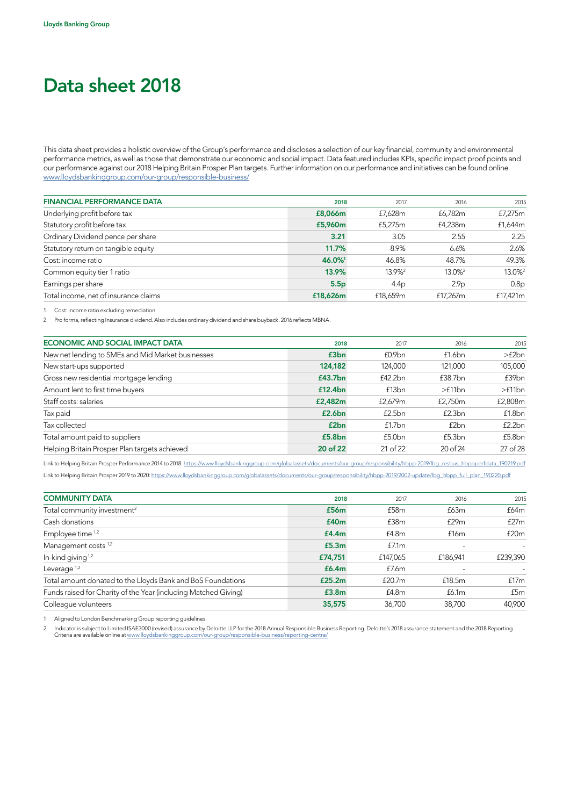## Data sheet 2018

This data sheet provides a holistic overview of the Group's performance and discloses a selection of our key financial, community and environmental performance metrics, as well as those that demonstrate our economic and social impact. Data featured includes KPIs, specific impact proof points and our performance against our 2018 Helping Britain Prosper Plan targets. Further information on our performance and initiatives can be found online [www.lloydsbankinggroup.com/our-group/responsible-business/](http://www.lloydsbankinggroup.com/our-group/responsible-business/)

| <b>FINANCIAL PERFORMANCE DATA</b>     | 2018             | 2017               | 2016               | 2015               |
|---------------------------------------|------------------|--------------------|--------------------|--------------------|
| Underlying profit before tax          | £8,066m          | £7,628m            | £6,782m            | £7,275m            |
| Statutory profit before tax           | £5,960m          | £5,275m            | £4,238m            | £1,644m            |
| Ordinary Dividend pence per share     | 3.21             | 3.05               | 2.55               | 2.25               |
| Statutory return on tangible equity   | 11.7%            | 8.9%               | 6.6%               | 2.6%               |
| Cost: income ratio                    | 46.0%            | 46.8%              | 48.7%              | 49.3%              |
| Common equity tier 1 ratio            | 13.9%            | 13.9% <sup>2</sup> | 13.0% <sup>2</sup> | 13.0% <sup>2</sup> |
| Earnings per share                    | 5.5 <sub>p</sub> | 4.4 <sub>p</sub>   | 2.9 <sub>p</sub>   | 0.8 <sub>p</sub>   |
| Total income, net of insurance claims | £18,626m         | £18.659m           | £17.267m           | £17.421m           |
|                                       |                  |                    |                    |                    |

1 Cost: income ratio excluding remediation

2 Pro forma, reflecting Insurance dividend. Also includes ordinary dividend and share buyback. 2016 reflects MBNA.

| ECONOMIC AND SOCIAL IMPACT DATA                   | 2018     | 2017               | 2016                | 2015     |
|---------------------------------------------------|----------|--------------------|---------------------|----------|
| New net lending to SMEs and Mid Market businesses | £3bn     | £0.9 <sub>bn</sub> | f1.6bn              | >f2bn    |
| New start-ups supported                           | 124,182  | 124,000            | 121,000             | 105,000  |
| Gross new residential mortgage lending            | £43.7bn  | £42.2bn            | £38.7bn             | £39bn    |
| Amount lent to first time buyers                  | £12.4bn  | £13 <sub>bn</sub>  | >f11bn              | >f11bn   |
| Staff costs: salaries                             | £2,482m  | £2,679m            | £2.750 <sub>m</sub> | £2,808m  |
| Tax paid                                          | £2.6bn   | £2.5bn             | £2.3bn              | f1.8bn   |
| Tax collected                                     | £2bn     | f1.7bn             | f <sub>2</sub> bn   | f2.2bn   |
| Total amount paid to suppliers                    | £5.8bn   | £5.0 <sub>bn</sub> | £5.3bn              | £5.8bn   |
| Helping Britain Prosper Plan targets achieved     | 20 of 22 | 21 of 22           | 20 of 24            | 27 of 28 |

Link to Helping Britain Prosper Performance 2014 to 2018: [https://www.lloydsbankinggroup.com/globalassets/documents/our-group/responsibility/hbpp-2019/lbg\\_resbus\\_hbppperfdata\\_190219.pdf](https://www.lloydsbankinggroup.com/globalassets/documents/our-group/responsibility/hbpp-2019/lbg_resbus_hbppperfdata_190219.pdf) Link to Helping Britain Prosper 2019 to 2020: [https://www.lloydsbankinggroup.com/globalassets/documents/our-group/responsibility/hbpp-2019/2002-update/lbg\\_hbpp\\_full\\_plan\\_190220.pdf](https://www.lloydsbankinggroup.com/globalassets/documents/our-group/responsibility/hbpp-2019/2002-update/lbg_hbpp_full_plan_190220.pdf)

| <b>COMMUNITY DATA</b>                                           | 2018              | 2017               | 2016     | 2015     |
|-----------------------------------------------------------------|-------------------|--------------------|----------|----------|
| Total community investment <sup>2</sup>                         | £56m              | £58 <sub>m</sub>   | £63m     | £64m     |
| Cash donations                                                  | £40 <sub>m</sub>  | £38m               | £29m     | f27m     |
| Employee time <sup>1,2</sup>                                    | £4.4m             | £4.8m              | £16m     | £20m     |
| Management costs <sup>1,2</sup>                                 | £5.3m             | £7.1m              |          |          |
| In-kind giving $1,2$                                            | £74,751           | £147,065           | £186,941 | £239,390 |
| Leverage $1,2$                                                  | £6.4m             | £7.6m              |          |          |
| Total amount donated to the Lloyds Bank and BoS Foundations     | £25.2m            | £20.7 <sub>m</sub> | £18.5m   | f17m     |
| Funds raised for Charity of the Year (including Matched Giving) | £3.8 <sub>m</sub> | £4.8m              | £6.1m    | £5m      |
| Colleague volunteers                                            | 35,575            | 36,700             | 38.700   | 40,900   |

1 Aligned to London Benchmarking Group reporting guidelines.

2 Indicator is subject to Limited ISAE3000 (revised) assurance by Deloitte LLP for the 2018 Annual Responsible Business Reporting. Deloitte's 2018 assurance statement and the 2018 Reporting Criteria are available online at [www.lloydsbankinggroup.com/our-group/responsible-business/reporting-centre/](http://www.lloydsbankinggroup.com/our-group/responsible-business/reporting-centre/)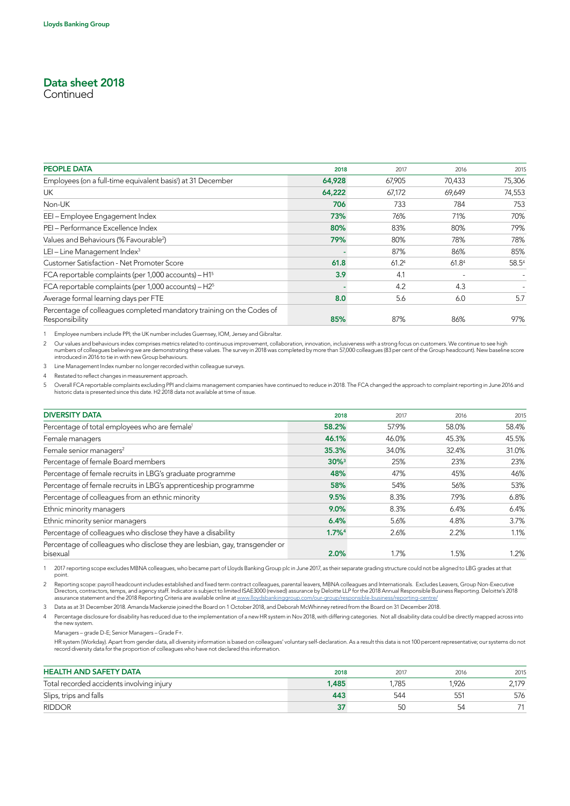## Data sheet 2018

**Continued** 

| <b>PEOPLE DATA</b>                                                                      | 2018   | 2017   | 2016              | 2015   |
|-----------------------------------------------------------------------------------------|--------|--------|-------------------|--------|
| Employees (on a full-time equivalent basis <sup>1</sup> ) at 31 December                | 64,928 | 67,905 | 70,433            | 75,306 |
| <b>UK</b>                                                                               | 64,222 | 67,172 | 69.649            | 74,553 |
| Non-UK                                                                                  | 706    | 733    | 784               | 753    |
| EEI-Employee Engagement Index                                                           | 73%    | 76%    | 71%               | 70%    |
| PEI - Performance Excellence Index                                                      | 80%    | 83%    | 80%               | 79%    |
| Values and Behaviours (% Favourable <sup>2</sup> )                                      | 79%    | 80%    | 78%               | 78%    |
| LEI-Line Management Index <sup>3</sup>                                                  |        | 87%    | 86%               | 85%    |
| Customer Satisfaction - Net Promoter Score                                              | 61.8   | 61.24  | 61.8 <sup>4</sup> | 58.54  |
| FCA reportable complaints (per 1,000 accounts) $- H15$                                  | 3.9    | 4.1    |                   |        |
| FCA reportable complaints (per 1,000 accounts) $- H25$                                  |        | 4.2    | 4.3               |        |
| Average formal learning days per FTE                                                    | 8.0    | 5.6    | 6.0               | 5.7    |
| Percentage of colleagues completed mandatory training on the Codes of<br>Responsibility | 85%    | 87%    | 86%               | 97%    |

1 Employee numbers include PPI; the UK number includes Guernsey, IOM, Jersey and Gibraltar.

2 Our values and behaviours index comprises metrics related to continuous improvement, collaboration, innovation, inclusiveness with a strong focus on customers. We continue to see high<br>numbers of colleagues believing we a

3 Line Management Index number no longer recorded within colleague surveys.

4 Restated to reflect changes in measurement approach.

5 Overall FCA reportable complaints excluding PPI and claims management companies have continued to reduce in 2018. The FCA changed the approach to complaint reporting in June 2016 and<br>historic data is presented since this

| <b>DIVERSITY DATA</b><br>2017<br>2018<br>Percentage of total employees who are female <sup>1</sup><br>58.2%<br>57.9%<br>46.1%<br>46.0%<br>Female managers<br>Female senior managers <sup>2</sup><br>35.3%<br>34.0%<br>Percentage of female Board members<br>$30\%$ <sup>3</sup><br>25%<br>Percentage of female recruits in LBG's graduate programme<br>47%<br>48%<br>Percentage of female recruits in LBG's apprenticeship programme<br>58%<br>54%<br>Percentage of colleagues from an ethnic minority<br>9.5%<br>8.3%<br>9.0%<br>8.3%<br>Ethnic minority managers<br>Ethnic minority senior managers<br>6.4%<br>5.6%<br>Percentage of colleagues who disclose they have a disability<br>$1.7\%$ <sup>4</sup><br>2.6%<br>Percentage of colleagues who disclose they are lesbian, gay, transgender or |       |       |
|------------------------------------------------------------------------------------------------------------------------------------------------------------------------------------------------------------------------------------------------------------------------------------------------------------------------------------------------------------------------------------------------------------------------------------------------------------------------------------------------------------------------------------------------------------------------------------------------------------------------------------------------------------------------------------------------------------------------------------------------------------------------------------------------------|-------|-------|
|                                                                                                                                                                                                                                                                                                                                                                                                                                                                                                                                                                                                                                                                                                                                                                                                      | 2016  | 2015  |
|                                                                                                                                                                                                                                                                                                                                                                                                                                                                                                                                                                                                                                                                                                                                                                                                      | 58.0% | 58.4% |
|                                                                                                                                                                                                                                                                                                                                                                                                                                                                                                                                                                                                                                                                                                                                                                                                      | 45.3% | 45.5% |
|                                                                                                                                                                                                                                                                                                                                                                                                                                                                                                                                                                                                                                                                                                                                                                                                      | 32.4% | 31.0% |
|                                                                                                                                                                                                                                                                                                                                                                                                                                                                                                                                                                                                                                                                                                                                                                                                      | 23%   | 23%   |
|                                                                                                                                                                                                                                                                                                                                                                                                                                                                                                                                                                                                                                                                                                                                                                                                      | 45%   | 46%   |
|                                                                                                                                                                                                                                                                                                                                                                                                                                                                                                                                                                                                                                                                                                                                                                                                      | 56%   | 53%   |
|                                                                                                                                                                                                                                                                                                                                                                                                                                                                                                                                                                                                                                                                                                                                                                                                      | 7.9%  | 6.8%  |
|                                                                                                                                                                                                                                                                                                                                                                                                                                                                                                                                                                                                                                                                                                                                                                                                      | 6.4%  | 6.4%  |
|                                                                                                                                                                                                                                                                                                                                                                                                                                                                                                                                                                                                                                                                                                                                                                                                      | 4.8%  | 3.7%  |
|                                                                                                                                                                                                                                                                                                                                                                                                                                                                                                                                                                                                                                                                                                                                                                                                      | 2.2%  | 1.1%  |
| 2.0%<br>1.7%<br>bisexual                                                                                                                                                                                                                                                                                                                                                                                                                                                                                                                                                                                                                                                                                                                                                                             | 1.5%  | 1.2%  |

1 2017 reporting scope excludes MBNA colleagues, who became part of Lloyds Banking Group plc in June 2017, as their separate grading structure could not be aligned to LBG grades at that point.

Reporting scope: payroll headcount includes established and fixed term contract colleagues, parental leavers, MBNA colleagues and Internationals. Excludes Leavers, Group Non-Executive<br>Directors, contractors, temps, and age assurance statement and the 2018 Reporting Criteria are available online at [www.lloydsbankinggroup.com/our-group/responsible-business/reporting-centre/](http://www.lloydsbankinggroup.com/our-group/responsible-business/reporting-centre/)

3 Data as at 31 December 2018. Amanda Mackenzie joined the Board on 1 October 2018, and Deborah McWhinney retired from the Board on 31 December 2018.

4 Percentage disclosure for disability has reduced due to the implementation of a new HR system in Nov 2018, with differing categories. Not all disability data could be directly mapped across into the new system.

Managers – grade D-E; Senior Managers – Grade F+.

 HR system (Workday). Apart from gender data, all diversity information is based on colleagues' voluntary self-declaration. As a result this data is not 100 percent representative; our systems do not record diversity data for the proportion of colleagues who have not declared this information.

| <b>HEALTH AND SAFETY DATA</b>             | 2018  | 2017  | 2016  | 2015  |
|-------------------------------------------|-------|-------|-------|-------|
| Total recorded accidents involving injury | 1,485 | 1.785 | 1.926 | 2.179 |
| Slips, trips and falls                    | 443   | 544   | 551   | 576   |
| <b>RIDDOR</b>                             | 37    | 50    | 54    |       |